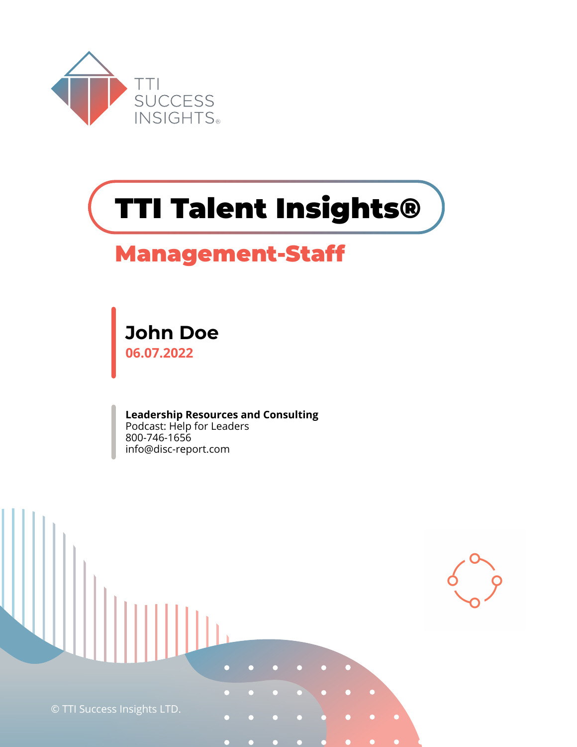

# **TTI Talent Insights®**

# **Management-Staff**

**John Doe 06.07.2022**

**Leadership Resources and Consulting** Podcast: Help for Leaders 800-746-1656 info@disc-report.com

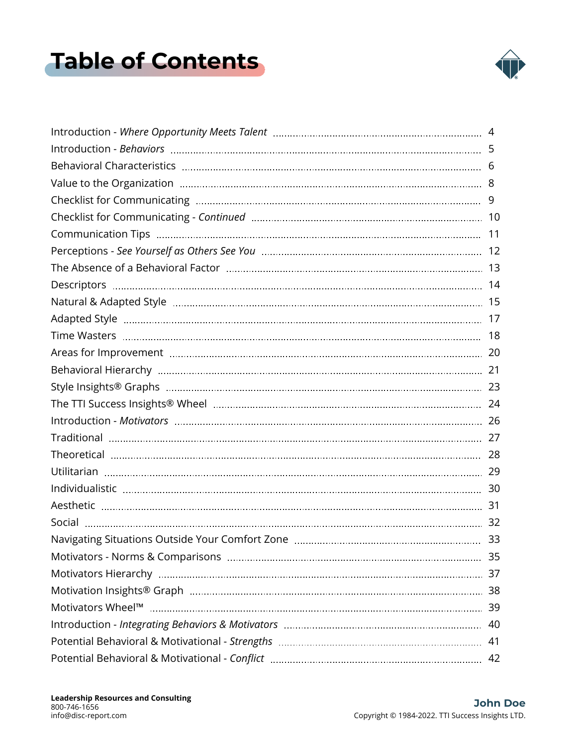# <span id="page-1-0"></span>**Table of Contents**

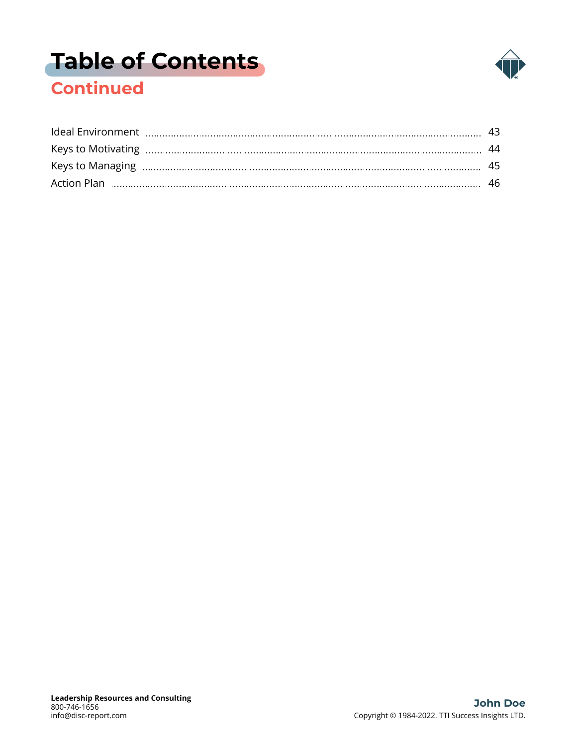# **[Table of Contents](#page-1-0)**



### **Continued**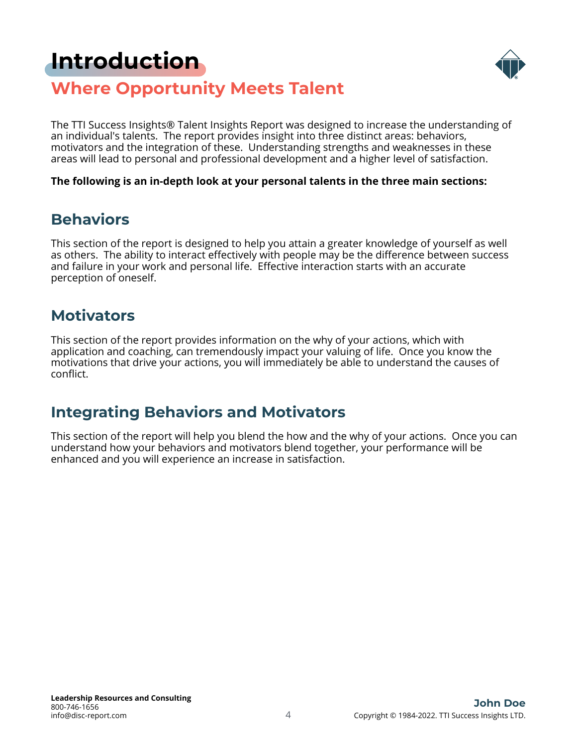# <span id="page-3-0"></span>**[Introduction](#page-1-0)**



### **Where Opportunity Meets Talent**

The TTI Success Insights® Talent Insights Report was designed to increase the understanding of an individual's talents. The report provides insight into three distinct areas: behaviors, motivators and the integration of these. Understanding strengths and weaknesses in these areas will lead to personal and professional development and a higher level of satisfaction.

**The following is an in-depth look at your personal talents in the three main sections:**

### **Behaviors**

This section of the report is designed to help you attain a greater knowledge of yourself as well as others. The ability to interact effectively with people may be the difference between success and failure in your work and personal life. Effective interaction starts with an accurate perception of oneself.

### **Motivators**

This section of the report provides information on the why of your actions, which with application and coaching, can tremendously impact your valuing of life. Once you know the motivations that drive your actions, you will immediately be able to understand the causes of conflict.

### **Integrating Behaviors and Motivators**

This section of the report will help you blend the how and the why of your actions. Once you can understand how your behaviors and motivators blend together, your performance will be enhanced and you will experience an increase in satisfaction.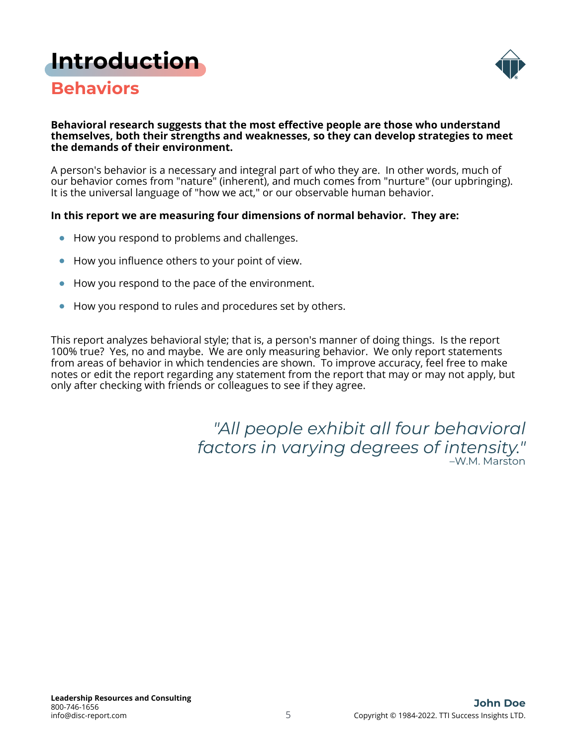# <span id="page-4-0"></span>**[Introduction](#page-1-0)**



### **Behaviors**

#### **Behavioral research suggests that the most effective people are those who understand themselves, both their strengths and weaknesses, so they can develop strategies to meet the demands of their environment.**

A person's behavior is a necessary and integral part of who they are. In other words, much of our behavior comes from "nature" (inherent), and much comes from "nurture" (our upbringing). It is the universal language of "how we act," or our observable human behavior.

### **In this report we are measuring four dimensions of normal behavior. They are:**

- How you respond to problems and challenges.
- How you influence others to your point of view.  $\bullet$
- How you respond to the pace of the environment.
- How you respond to rules and procedures set by others.

This report analyzes behavioral style; that is, a person's manner of doing things. Is the report 100% true? Yes, no and maybe. We are only measuring behavior. We only report statements from areas of behavior in which tendencies are shown. To improve accuracy, feel free to make notes or edit the report regarding any statement from the report that may or may not apply, but only after checking with friends or colleagues to see if they agree.

> *"All people exhibit all four behavioral factors in varying degrees of intensity."* –W.M. Marston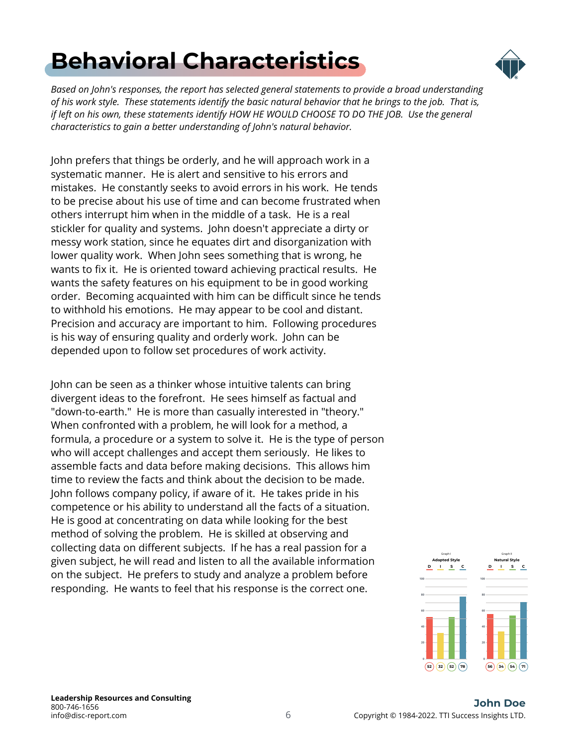# <span id="page-5-0"></span>**[Behavioral Characteristics](#page-1-0)**



*Based on John's responses, the report has selected general statements to provide a broad understanding of his work style. These statements identify the basic natural behavior that he brings to the job. That is, if left on his own, these statements identify HOW HE WOULD CHOOSE TO DO THE JOB. Use the general characteristics to gain a better understanding of John's natural behavior.*

John prefers that things be orderly, and he will approach work in a systematic manner. He is alert and sensitive to his errors and mistakes. He constantly seeks to avoid errors in his work. He tends to be precise about his use of time and can become frustrated when others interrupt him when in the middle of a task. He is a real stickler for quality and systems. John doesn't appreciate a dirty or messy work station, since he equates dirt and disorganization with lower quality work. When John sees something that is wrong, he wants to fix it. He is oriented toward achieving practical results. He wants the safety features on his equipment to be in good working order. Becoming acquainted with him can be difficult since he tends to withhold his emotions. He may appear to be cool and distant. Precision and accuracy are important to him. Following procedures is his way of ensuring quality and orderly work. John can be depended upon to follow set procedures of work activity.

John can be seen as a thinker whose intuitive talents can bring divergent ideas to the forefront. He sees himself as factual and "down-to-earth." He is more than casually interested in "theory." When confronted with a problem, he will look for a method, a formula, a procedure or a system to solve it. He is the type of person who will accept challenges and accept them seriously. He likes to assemble facts and data before making decisions. This allows him time to review the facts and think about the decision to be made. John follows company policy, if aware of it. He takes pride in his competence or his ability to understand all the facts of a situation. He is good at concentrating on data while looking for the best method of solving the problem. He is skilled at observing and collecting data on different subjects. If he has a real passion for a given subject, he will read and listen to all the available information on the subject. He prefers to study and analyze a problem before responding. He wants to feel that his response is the correct one.

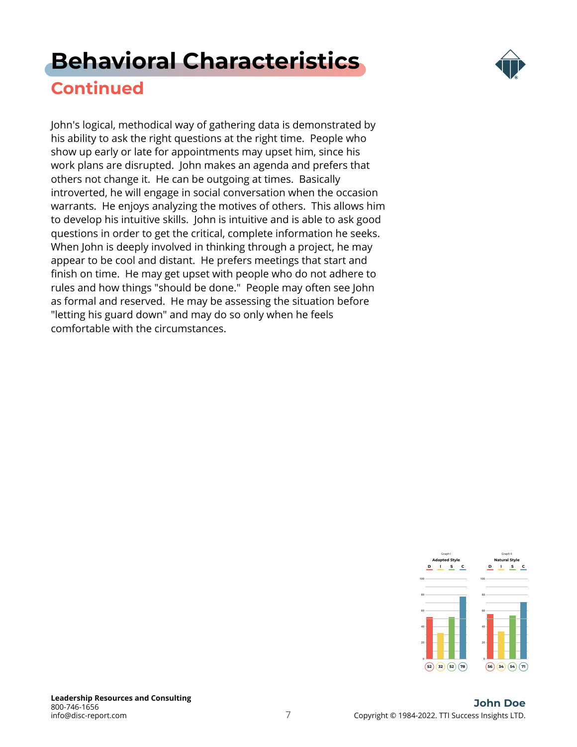# **[Behavioral Characteristics](#page-1-0)**



### **Continued**

John's logical, methodical way of gathering data is demonstrated by his ability to ask the right questions at the right time. People who show up early or late for appointments may upset him, since his work plans are disrupted. John makes an agenda and prefers that others not change it. He can be outgoing at times. Basically introverted, he will engage in social conversation when the occasion warrants. He enjoys analyzing the motives of others. This allows him to develop his intuitive skills. John is intuitive and is able to ask good questions in order to get the critical, complete information he seeks. When John is deeply involved in thinking through a project, he may appear to be cool and distant. He prefers meetings that start and finish on time. He may get upset with people who do not adhere to rules and how things "should be done." People may often see John as formal and reserved. He may be assessing the situation before "letting his guard down" and may do so only when he feels comfortable with the circumstances.

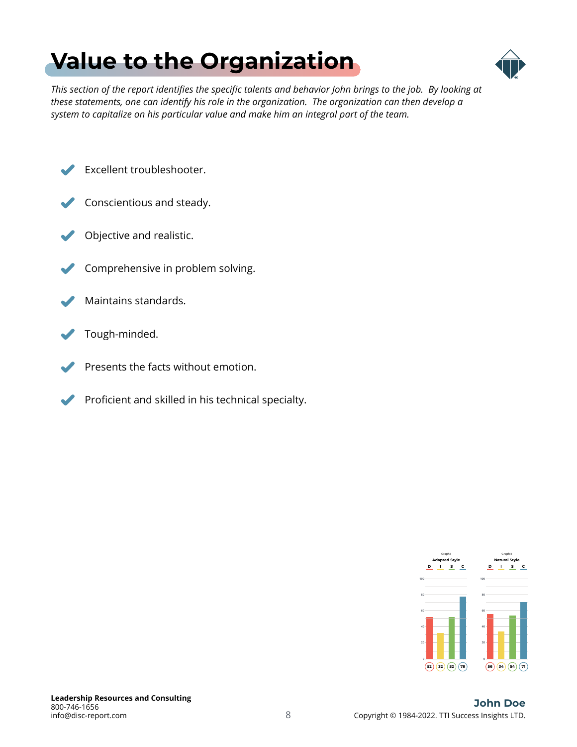# <span id="page-7-0"></span>**[Value to the Organization](#page-1-0)**



*This section of the report identifies the specific talents and behavior John brings to the job. By looking at these statements, one can identify his role in the organization. The organization can then develop a system to capitalize on his particular value and make him an integral part of the team.*

Excellent troubleshooter.



- Objective and realistic.
- Comprehensive in problem solving.
- Maintains standards.
- Tough-minded.
- Presents the facts without emotion.
- Proficient and skilled in his technical specialty.

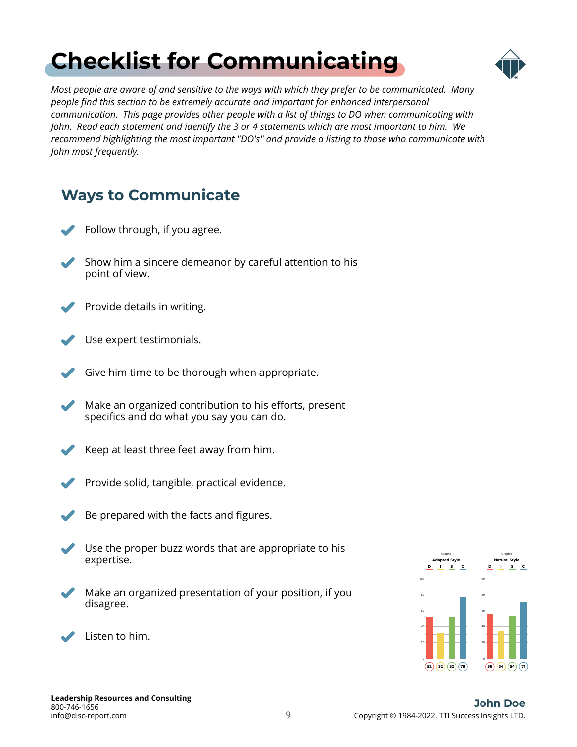# <span id="page-8-0"></span>**[Checklist for Communicating](#page-1-0)**



*Most people are aware of and sensitive to the ways with which they prefer to be communicated. Many people find this section to be extremely accurate and important for enhanced interpersonal communication. This page provides other people with a list of things to DO when communicating with John. Read each statement and identify the 3 or 4 statements which are most important to him. We recommend highlighting the most important "DO's" and provide a listing to those who communicate with John most frequently.*

| <b>Ways to Communicate</b> |                                                                                                     |  |  |  |
|----------------------------|-----------------------------------------------------------------------------------------------------|--|--|--|
|                            | Follow through, if you agree.                                                                       |  |  |  |
|                            | Show him a sincere demeanor by careful attention to his<br>point of view.                           |  |  |  |
|                            | Provide details in writing.                                                                         |  |  |  |
|                            | Use expert testimonials.                                                                            |  |  |  |
|                            | Give him time to be thorough when appropriate.                                                      |  |  |  |
|                            | Make an organized contribution to his efforts, present<br>specifics and do what you say you can do. |  |  |  |
|                            | Keep at least three feet away from him.                                                             |  |  |  |
|                            | Provide solid, tangible, practical evidence.                                                        |  |  |  |
|                            | Be prepared with the facts and figures.                                                             |  |  |  |
|                            | Use the proper buzz words that are appropriate to his<br>expertise.                                 |  |  |  |
|                            | Make an organized presentation of your position, if you<br>disagree.                                |  |  |  |
|                            | Listen to him.                                                                                      |  |  |  |

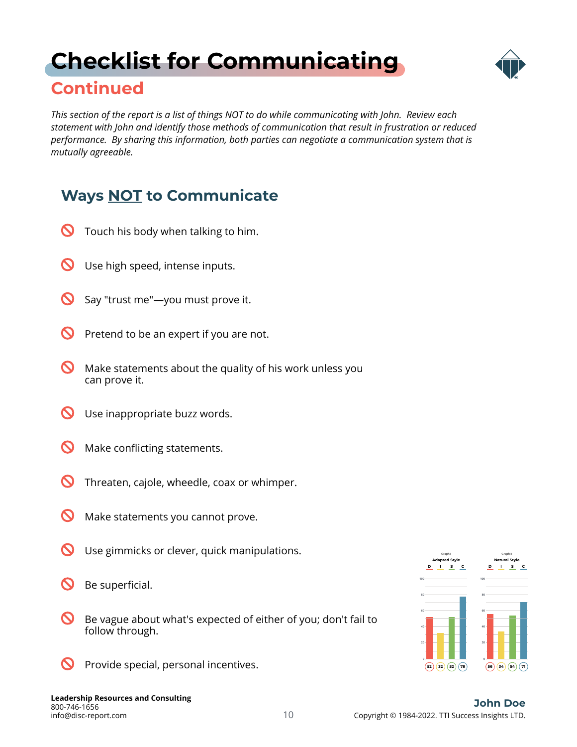# <span id="page-9-0"></span>**[Checklist for Communicating](#page-1-0)**



### **Continued**

*This section of the report is a list of things NOT to do while communicating with John. Review each statement with John and identify those methods of communication that result in frustration or reduced performance. By sharing this information, both parties can negotiate a communication system that is mutually agreeable.*

### **Ways NOT to Communicate**

- $\boldsymbol{\mathsf{C}}$ Touch his body when talking to him.
- $\boldsymbol{\mathsf{O}}$ Use high speed, intense inputs.
- $\boldsymbol{\infty}$ Say "trust me"—you must prove it.
- $\boldsymbol{\varOmega}$ Pretend to be an expert if you are not.
- $\boldsymbol{\infty}$ Make statements about the quality of his work unless you can prove it.
- $\boldsymbol{\varOmega}$ Use inappropriate buzz words.
- $\boldsymbol{\infty}$ Make conflicting statements.
- $\boldsymbol{\infty}$ Threaten, cajole, wheedle, coax or whimper.
- $\boldsymbol{\infty}$ Make statements you cannot prove.
- $\boldsymbol{\mathcal{D}}$ Use gimmicks or clever, quick manipulations.
- $\boldsymbol{\infty}$ Be superficial.
- $\boldsymbol{\mathcal{D}}$ Be vague about what's expected of either of you; don't fail to follow through.
- $\boldsymbol{\mathsf{O}}$ Provide special, personal incentives.

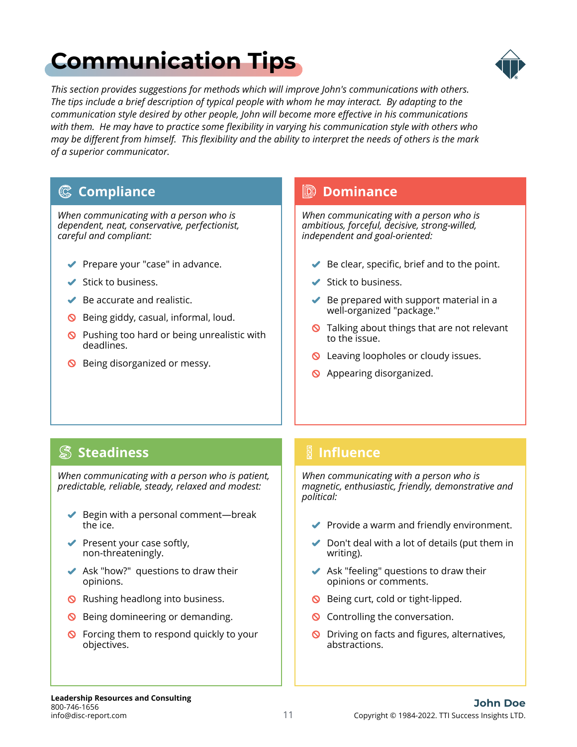# <span id="page-10-0"></span>**[Communication Tips](#page-1-0)**



*This section provides suggestions for methods which will improve John's communications with others. The tips include a brief description of typical people with whom he may interact. By adapting to the communication style desired by other people, John will become more effective in his communications with them. He may have to practice some flexibility in varying his communication style with others who may be different from himself. This flexibility and the ability to interpret the needs of others is the mark of a superior communicator.*

### **Compliance**

*When communicating with a person who is dependent, neat, conservative, perfectionist, careful and compliant:*

- ◆ Prepare your "case" in advance.
- $\blacktriangleright$  Stick to business.
- $\blacktriangleright$  Be accurate and realistic.
- **S** Being giddy, casual, informal, loud.
- $\bigcirc$  Pushing too hard or being unrealistic with deadlines.
- S Being disorganized or messy.

### **Dominance**

*When communicating with a person who is ambitious, forceful, decisive, strong-willed, independent and goal-oriented:*

- $\blacktriangleright$  Be clear, specific, brief and to the point.
- $\blacktriangleright$  Stick to business.
- $\blacktriangleright$  Be prepared with support material in a well-organized "package."
- **Q** Talking about things that are not relevant to the issue.
- **Q** Leaving loopholes or cloudy issues.
- **S** Appearing disorganized.

### **Steadiness**

*When communicating with a person who is patient, predictable, reliable, steady, relaxed and modest:*

- $\blacktriangleright$  Begin with a personal comment—break the ice.
- $\blacktriangleright$  Present your case softly, non-threateningly.
- $\blacktriangleright$  Ask "how?" questions to draw their opinions.
- **Q** Rushing headlong into business.
- **S** Being domineering or demanding.
- **S** Forcing them to respond quickly to your objectives.

### **Influence**

*When communicating with a person who is magnetic, enthusiastic, friendly, demonstrative and political:*

- $\blacktriangleright$  Provide a warm and friendly environment.
- $\triangleright$  Don't deal with a lot of details (put them in writing).
- $\blacktriangleright$  Ask "feeling" questions to draw their opinions or comments.
- **S** Being curt, cold or tight-lipped.
- **Q** Controlling the conversation.
- O Driving on facts and figures, alternatives, abstractions.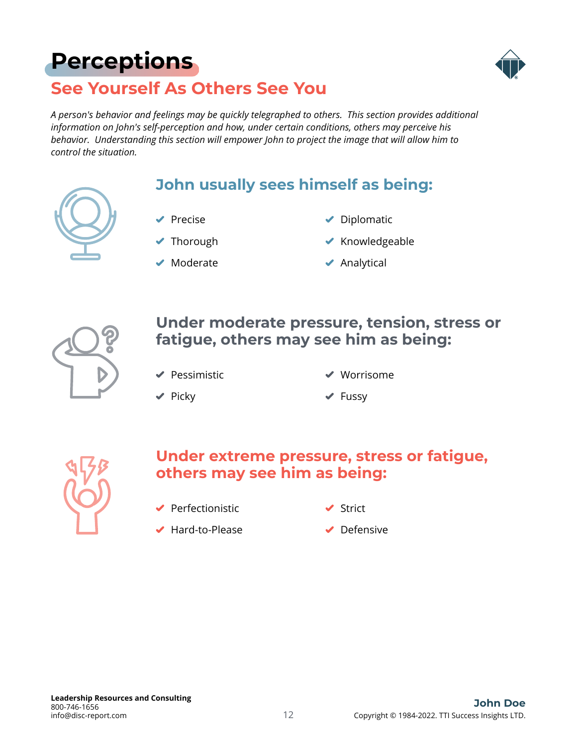# <span id="page-11-0"></span>**[Perceptions](#page-1-0)**



### **See Yourself As Others See You**

*A person's behavior and feelings may be quickly telegraphed to others. This section provides additional information on John's self-perception and how, under certain conditions, others may perceive his behavior. Understanding this section will empower John to project the image that will allow him to control the situation.*

### **John usually sees himself as being:**

- $\blacktriangleright$  Precise
- ◆ Thorough
- $\blacktriangleright$  Moderate
- $\blacktriangleright$  Diplomatic
- $\blacktriangleright$  Knowledgeable
- $\blacktriangleright$  Analytical



### **Under moderate pressure, tension, stress or fatigue, others may see him as being:**

 $\blacktriangleright$  Pessimistic

Worrisome

 $\blacktriangleright$  Picky

 $\blacktriangleright$  Fussy



### **Under extreme pressure, stress or fatigue, others may see him as being:**

 $\blacktriangleright$  Perfectionistic

**✓** Strict

◆ Hard-to-Please

◆ Defensive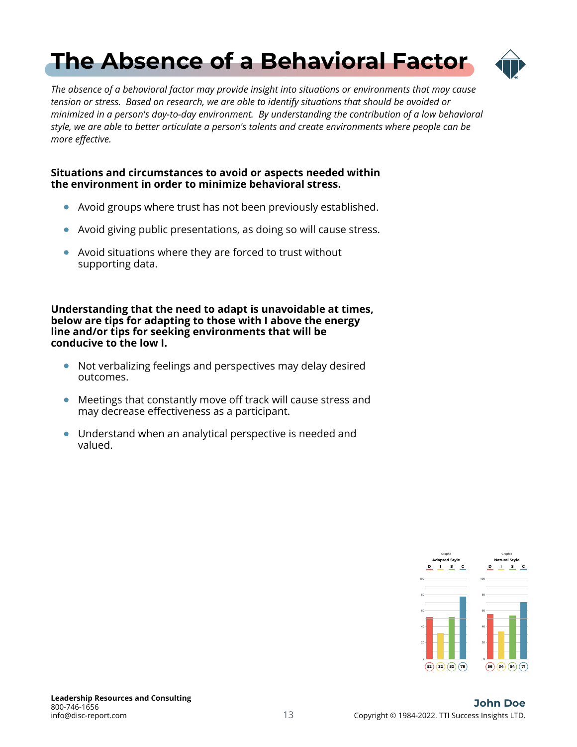# <span id="page-12-0"></span>**[The Absence of a Behavioral Factor](#page-1-0)**



*The absence of a behavioral factor may provide insight into situations or environments that may cause tension or stress. Based on research, we are able to identify situations that should be avoided or minimized in a person's day-to-day environment. By understanding the contribution of a low behavioral style, we are able to better articulate a person's talents and create environments where people can be more effective.*

#### **Situations and circumstances to avoid or aspects needed within the environment in order to minimize behavioral stress.**

- Avoid groups where trust has not been previously established.
- Avoid giving public presentations, as doing so will cause stress.  $\bullet$
- Avoid situations where they are forced to trust without supporting data.

**Understanding that the need to adapt is unavoidable at times, below are tips for adapting to those with I above the energy line and/or tips for seeking environments that will be conducive to the low I.**

- Not verbalizing feelings and perspectives may delay desired outcomes.
- Meetings that constantly move off track will cause stress and may decrease effectiveness as a participant.
- Understand when an analytical perspective is needed and valued.

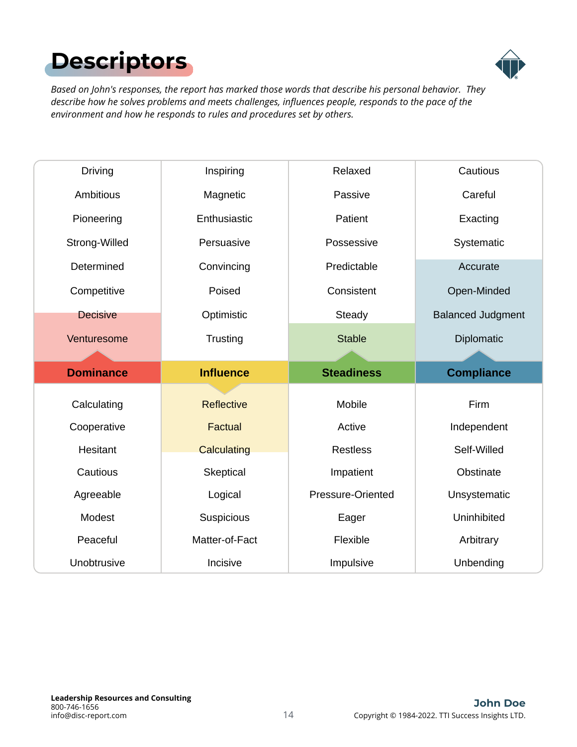# <span id="page-13-0"></span>**[Descriptors](#page-1-0)**



*Based on John's responses, the report has marked those words that describe his personal behavior. They describe how he solves problems and meets challenges, influences people, responds to the pace of the environment and how he responds to rules and procedures set by others.*

| Driving                    | Inspiring         | Relaxed           | Cautious                 |
|----------------------------|-------------------|-------------------|--------------------------|
| Ambitious                  | Magnetic          | Passive           | Careful                  |
| Pioneering                 | Enthusiastic      | Patient           | Exacting                 |
| Strong-Willed              | Persuasive        | Possessive        | Systematic               |
| Determined                 | Convincing        | Predictable       | Accurate                 |
| Competitive                | Poised            | Consistent        | Open-Minded              |
| <b>Decisive</b>            | Optimistic        | Steady            | <b>Balanced Judgment</b> |
| Venturesome                | Trusting          | <b>Stable</b>     | Diplomatic               |
|                            |                   |                   |                          |
|                            |                   |                   |                          |
| <b>Dominance</b>           | <b>Influence</b>  | <b>Steadiness</b> | <b>Compliance</b>        |
|                            | <b>Reflective</b> | Mobile            | Firm                     |
| Calculating<br>Cooperative | Factual           | Active            | Independent              |
| Hesitant                   | Calculating       | <b>Restless</b>   | Self-Willed              |
| Cautious                   | Skeptical         | Impatient         | Obstinate                |
| Agreeable                  | Logical           | Pressure-Oriented | Unsystematic             |
| Modest                     | Suspicious        | Eager             | Uninhibited              |
| Peaceful                   | Matter-of-Fact    | Flexible          | Arbitrary                |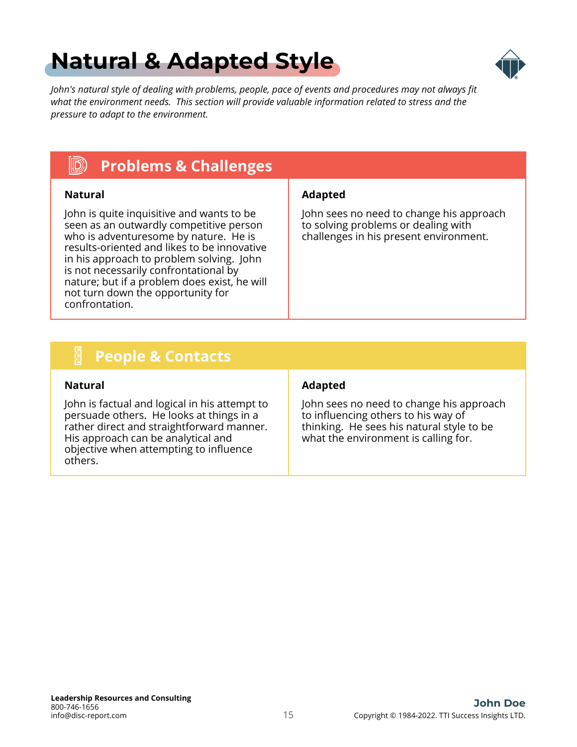# <span id="page-14-0"></span>**[Natural & Adapted Style](#page-1-0)**



*John's natural style of dealing with problems, people, pace of events and procedures may not always fit what the environment needs. This section will provide valuable information related to stress and the pressure to adapt to the environment.*

#### $\ket{\mathbb{D}}$ **Problems & Challenges**

John is quite inquisitive and wants to be seen as an outwardly competitive person who is adventuresome by nature. He is results-oriented and likes to be innovative in his approach to problem solving. John is not necessarily confrontational by nature; but if a problem does exist, he will not turn down the opportunity for confrontation.

### **Natural Adapted**

John sees no need to change his approach to solving problems or dealing with challenges in his present environment.

#### **E People & Contacts**

John is factual and logical in his attempt to persuade others. He looks at things in a rather direct and straightforward manner. His approach can be analytical and objective when attempting to influence others.

#### **Natural Adapted**

John sees no need to change his approach to influencing others to his way of thinking. He sees his natural style to be what the environment is calling for.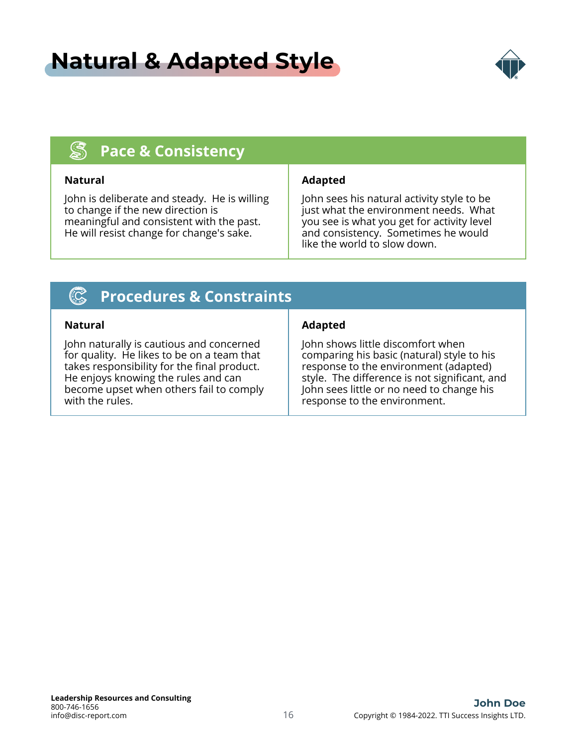## **[Natural & Adapted Style](#page-1-0)**



#### $\mathbb{S}$ **Pace & Consistency**

John is deliberate and steady. He is willing to change if the new direction is meaningful and consistent with the past. He will resist change for change's sake.

### **Natural Adapted**

John sees his natural activity style to be just what the environment needs. What you see is what you get for activity level and consistency. Sometimes he would like the world to slow down.

#### $(\mathbb{C})$ **Procedures & Constraints**

John naturally is cautious and concerned for quality. He likes to be on a team that takes responsibility for the final product. He enjoys knowing the rules and can become upset when others fail to comply with the rules.

### **Natural Adapted**

John shows little discomfort when comparing his basic (natural) style to his response to the environment (adapted) style. The difference is not significant, and John sees little or no need to change his response to the environment.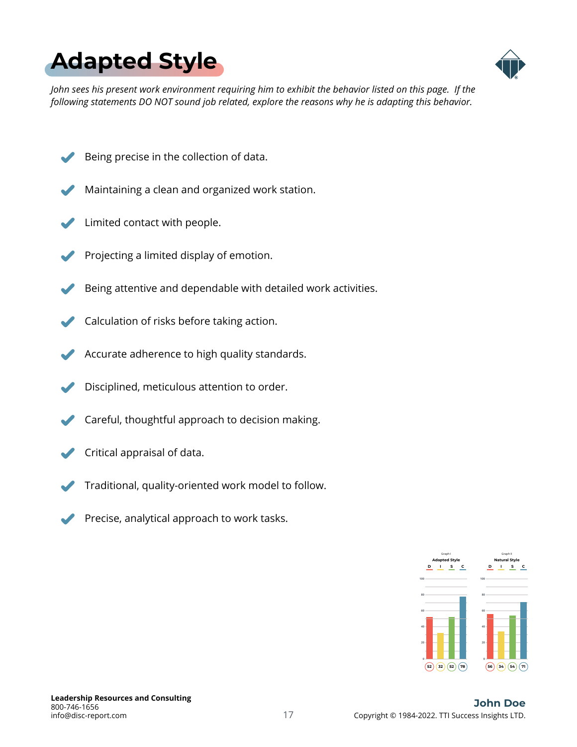<span id="page-16-0"></span>



*John sees his present work environment requiring him to exhibit the behavior listed on this page. If the following statements DO NOT sound job related, explore the reasons why he is adapting this behavior.*

- Being precise in the collection of data.
- Maintaining a clean and organized work station.
- Limited contact with people.
- Projecting a limited display of emotion.
- Being attentive and dependable with detailed work activities.
- Calculation of risks before taking action.
- Accurate adherence to high quality standards.
- Disciplined, meticulous attention to order.
- Careful, thoughtful approach to decision making.
- Critical appraisal of data.
- Traditional, quality-oriented work model to follow.
- Precise, analytical approach to work tasks.

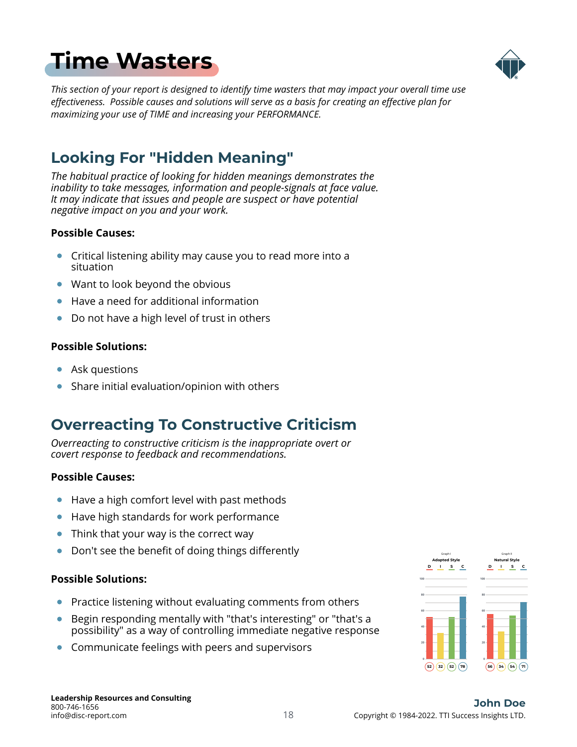# <span id="page-17-0"></span>**[Time Wasters](#page-1-0)**



*This section of your report is designed to identify time wasters that may impact your overall time use effectiveness. Possible causes and solutions will serve as a basis for creating an effective plan for maximizing your use of TIME and increasing your PERFORMANCE.*

### **Looking For "Hidden Meaning"**

*The habitual practice of looking for hidden meanings demonstrates the inability to take messages, information and people-signals at face value. It may indicate that issues and people are suspect or have potential negative impact on you and your work.*

### **Possible Causes:**

- Critical listening ability may cause you to read more into a situation
- Want to look beyond the obvious
- Have a need for additional information
- Do not have a high level of trust in others

### **Possible Solutions:**

- Ask questions
- Share initial evaluation/opinion with others

### **Overreacting To Constructive Criticism**

*Overreacting to constructive criticism is the inappropriate overt or covert response to feedback and recommendations.*

### **Possible Causes:**

- Have a high comfort level with past methods  $\bullet$
- Have high standards for work performance  $\bullet$
- Think that your way is the correct way  $\bullet$
- Don't see the benefit of doing things differently  $\bullet$

### **Possible Solutions:**

- Practice listening without evaluating comments from others
- Begin responding mentally with "that's interesting" or "that's a possibility" as a way of controlling immediate negative response
- Communicate feelings with peers and supervisors

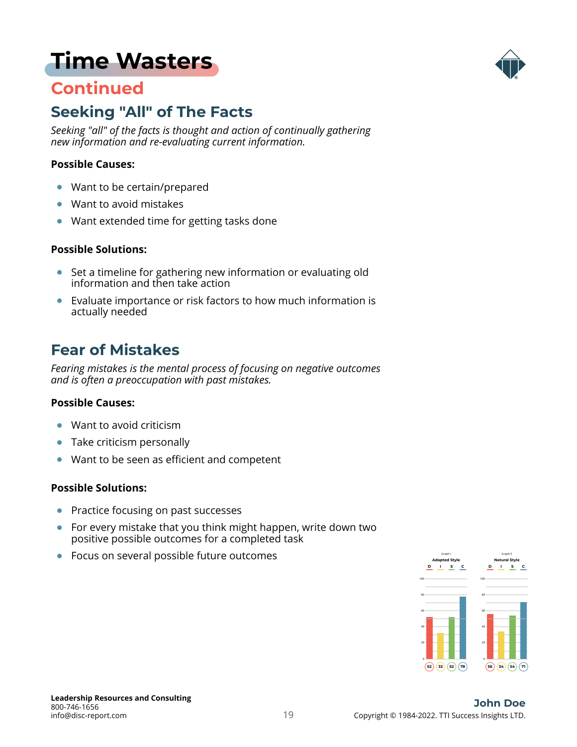## **[Time Wasters](#page-1-0)**

### **Continued**



### **Seeking "All" of The Facts**

*Seeking "all" of the facts is thought and action of continually gathering new information and re-evaluating current information.*

#### **Possible Causes:**

- Want to be certain/prepared  $\bullet$
- Want to avoid mistakes  $\bullet$
- Want extended time for getting tasks done

#### **Possible Solutions:**

- Set a timeline for gathering new information or evaluating old information and then take action
- Evaluate importance or risk factors to how much information is actually needed

### **Fear of Mistakes**

*Fearing mistakes is the mental process of focusing on negative outcomes and is often a preoccupation with past mistakes.*

#### **Possible Causes:**

- Want to avoid criticism  $\bullet$
- Take criticism personally
- Want to be seen as efficient and competent  $\bullet$

### **Possible Solutions:**

- Practice focusing on past successes
- For every mistake that you think might happen, write down two positive possible outcomes for a completed task
- Focus on several possible future outcomes  $\overline{\phantom{a}}$

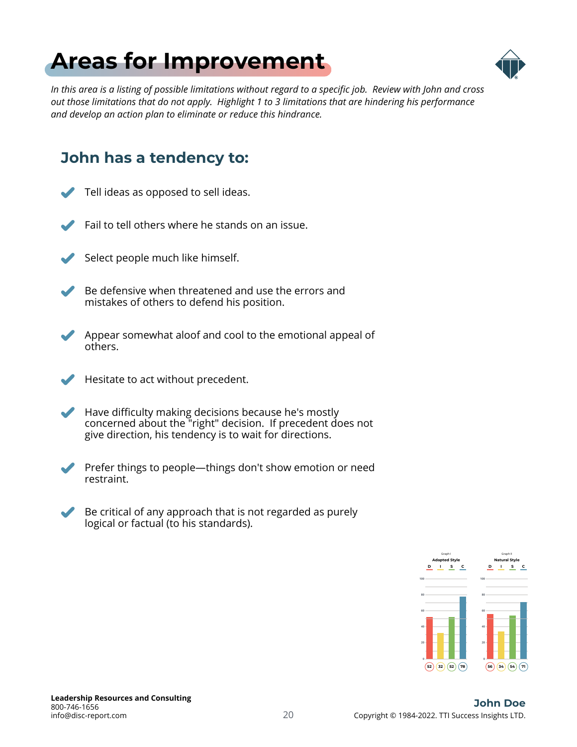# <span id="page-19-0"></span>**[Areas for Improvement](#page-1-0)**



*In this area is a listing of possible limitations without regard to a specific job. Review with John and cross out those limitations that do not apply. Highlight 1 to 3 limitations that are hindering his performance and develop an action plan to eliminate or reduce this hindrance.*

### **John has a tendency to:**

- Tell ideas as opposed to sell ideas.
	- Fail to tell others where he stands on an issue.
- 

Select people much like himself.

- Be defensive when threatened and use the errors and mistakes of others to defend his position.
- Appear somewhat aloof and cool to the emotional appeal of others.
- 

Hesitate to act without precedent.

- Have difficulty making decisions because he's mostly concerned about the "right" decision. If precedent does not give direction, his tendency is to wait for directions.
- 

Prefer things to people—things don't show emotion or need restraint.

Be critical of any approach that is not regarded as purely logical or factual (to his standards).

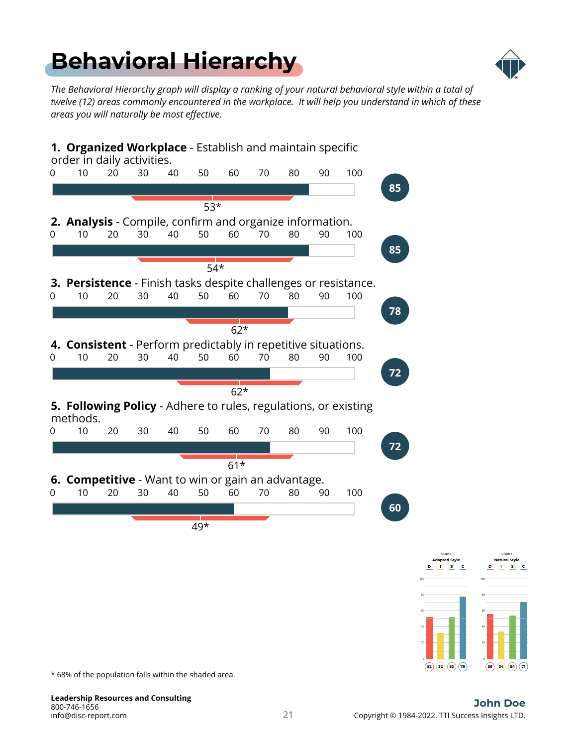# <span id="page-20-0"></span>**[Behavioral Hierarchy](#page-1-0)**



*The Behavioral Hierarchy graph will display a ranking of your natural behavioral style within a total of twelve (12) areas commonly encountered in the workplace. It will help you understand in which of these areas you will naturally be most effective.*



\* 68% of the population falls within the shaded area.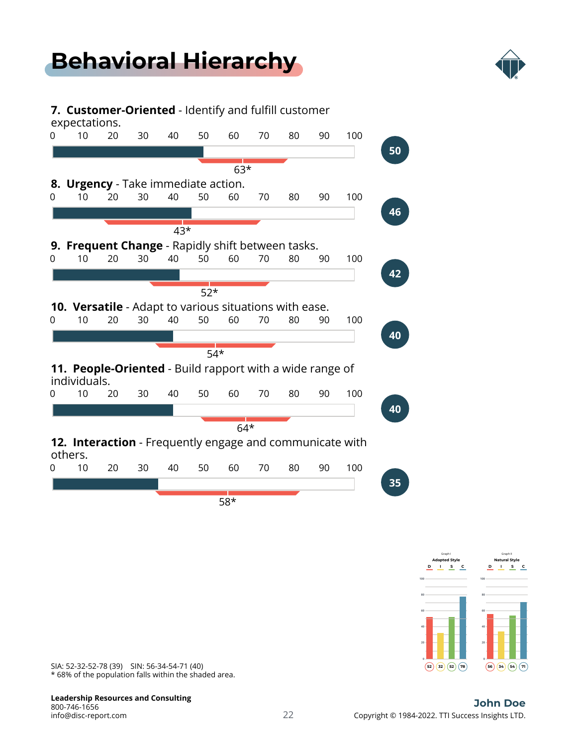# **[Behavioral Hierarchy](#page-1-0)**



### **7. Customer-Oriented** - Identify and fulfill customer expectations. 0 10 20 30 40 50 60 70 80 90 100 **50** 63\* **8. Urgency** - Take immediate action. 0 10 20 30 40 50 60 70 80 90 100 **46**  $43*$ **9. Frequent Change** - Rapidly shift between tasks. 0 10 20 30 40 50 60 70 80 90 100 **42**  $\sqrt{52*}$ **10. Versatile** - Adapt to various situations with ease. 0 10 20 30 40 50 60 70 80 90 100 **40**  $\frac{1}{54*}$ **11. People-Oriented** - Build rapport with a wide range of individuals. 0 10 20 30 40 50 60 70 80 90 100 **40**  $64*$ **12. Interaction** - Frequently engage and communicate with others. 0 10 20 30 40 50 60 70 80 90 100 **35** 58\*



\* 68% of the population falls within the shaded area. SIA: 52-32-52-78 (39) SIN: 56-34-54-71 (40)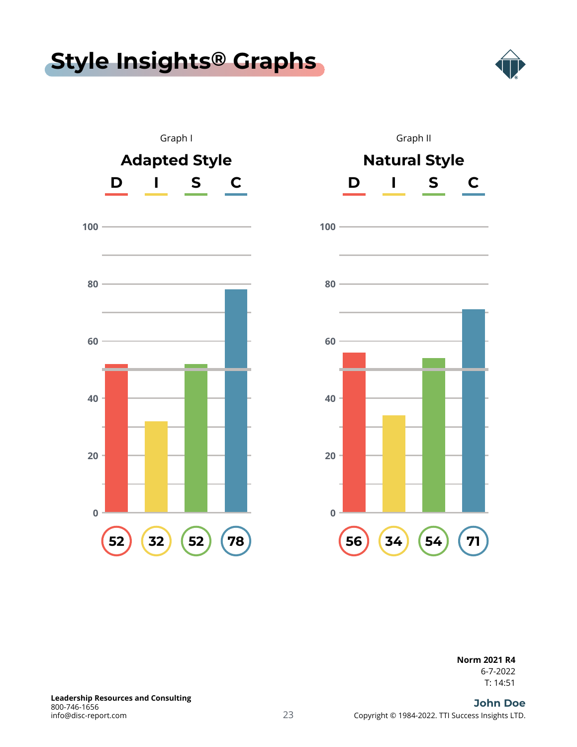# <span id="page-22-0"></span>**[Style Insights](#page-1-0) ® Graphs**







### **Norm 2021 R4**

T: 14:51 6-7-2022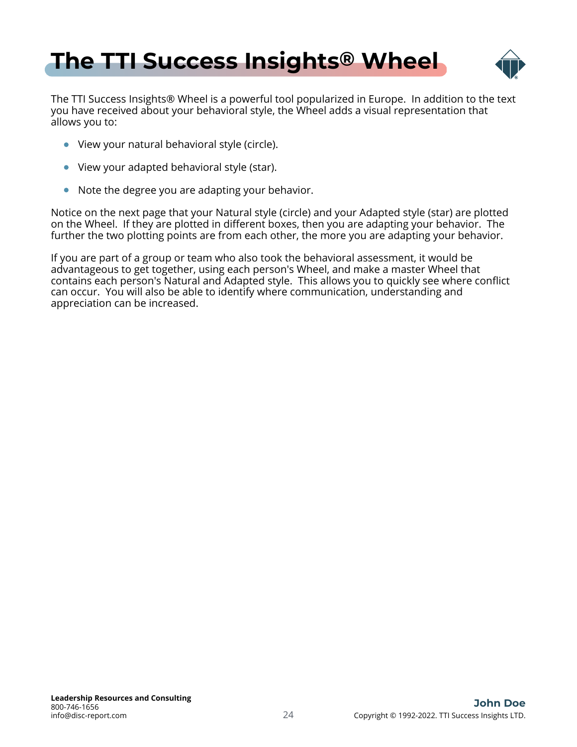<span id="page-23-0"></span>



The TTI Success Insights® Wheel is a powerful tool popularized in Europe. In addition to the text you have received about your behavioral style, the Wheel adds a visual representation that allows you to:

- View your natural behavioral style (circle).
- View your adapted behavioral style (star).
- Note the degree you are adapting your behavior.

Notice on the next page that your Natural style (circle) and your Adapted style (star) are plotted on the Wheel. If they are plotted in different boxes, then you are adapting your behavior. The further the two plotting points are from each other, the more you are adapting your behavior.

If you are part of a group or team who also took the behavioral assessment, it would be advantageous to get together, using each person's Wheel, and make a master Wheel that contains each person's Natural and Adapted style. This allows you to quickly see where conflict can occur. You will also be able to identify where communication, understanding and appreciation can be increased.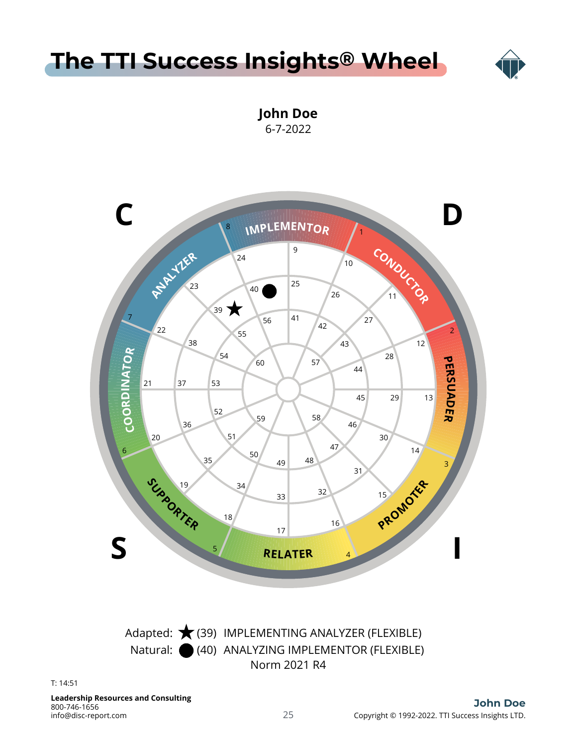# **[The TTI Success Insights](#page-1-0) ® Wheel**



**John Doe** 6-7-2022



info@disc-report.com 800-746-1656 **Leadership Resources and Consulting**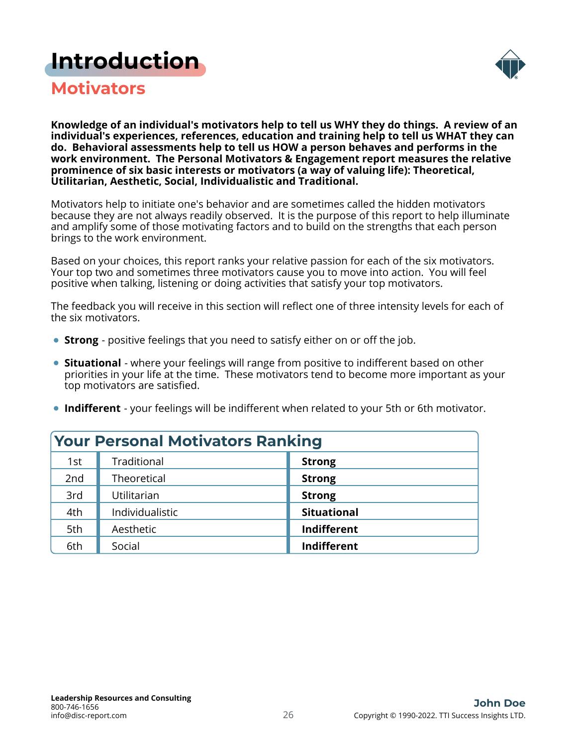### <span id="page-25-0"></span>**[Introduction](#page-1-0)**



**Motivators**

**Knowledge of an individual's motivators help to tell us WHY they do things. A review of an individual's experiences, references, education and training help to tell us WHAT they can do. Behavioral assessments help to tell us HOW a person behaves and performs in the work environment. The Personal Motivators & Engagement report measures the relative prominence of six basic interests or motivators (a way of valuing life): Theoretical, Utilitarian, Aesthetic, Social, Individualistic and Traditional.**

Motivators help to initiate one's behavior and are sometimes called the hidden motivators because they are not always readily observed. It is the purpose of this report to help illuminate and amplify some of those motivating factors and to build on the strengths that each person brings to the work environment.

Based on your choices, this report ranks your relative passion for each of the six motivators. Your top two and sometimes three motivators cause you to move into action. You will feel positive when talking, listening or doing activities that satisfy your top motivators.

The feedback you will receive in this section will reflect one of three intensity levels for each of the six motivators.

- **Strong** positive feelings that you need to satisfy either on or off the job.
- **Situational** where your feelings will range from positive to indifferent based on other priorities in your life at the time. These motivators tend to become more important as your top motivators are satisfied.
- **Indifferent** your feelings will be indifferent when related to your 5th or 6th motivator.

| <b>Your Personal Motivators Ranking</b> |                 |                    |  |  |
|-----------------------------------------|-----------------|--------------------|--|--|
| 1st                                     | Traditional     | <b>Strong</b>      |  |  |
| 2nd                                     | Theoretical     | <b>Strong</b>      |  |  |
| 3rd                                     | Utilitarian     | <b>Strong</b>      |  |  |
| 4th                                     | Individualistic | <b>Situational</b> |  |  |
| 5th                                     | Aesthetic       | Indifferent        |  |  |
| 6th                                     | Social          | Indifferent        |  |  |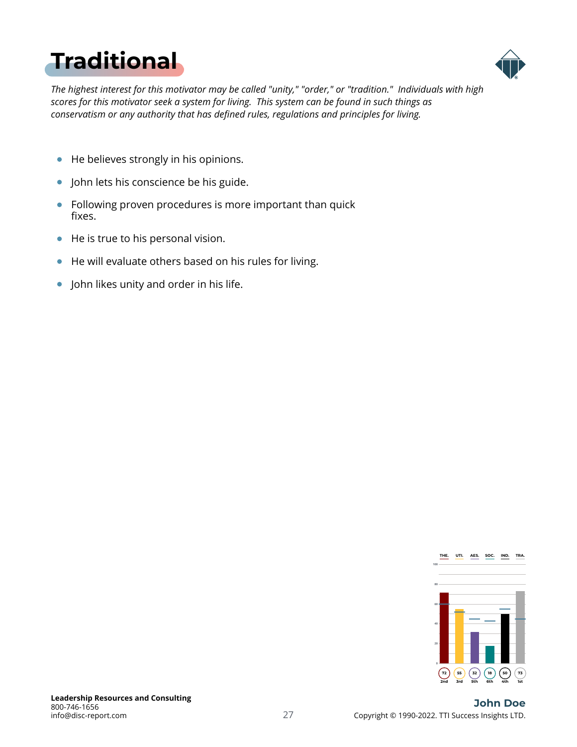# <span id="page-26-0"></span>**[Traditional](#page-1-0)**



*The highest interest for this motivator may be called "unity," "order," or "tradition." Individuals with high scores for this motivator seek a system for living. This system can be found in such things as conservatism or any authority that has defined rules, regulations and principles for living.*

- $\bullet$ He believes strongly in his opinions.
- John lets his conscience be his guide.  $\bullet$
- $\bullet$ Following proven procedures is more important than quick fixes.
- He is true to his personal vision.  $\bullet$
- He will evaluate others based on his rules for living.  $\bullet$
- John likes unity and order in his life.  $\bullet$

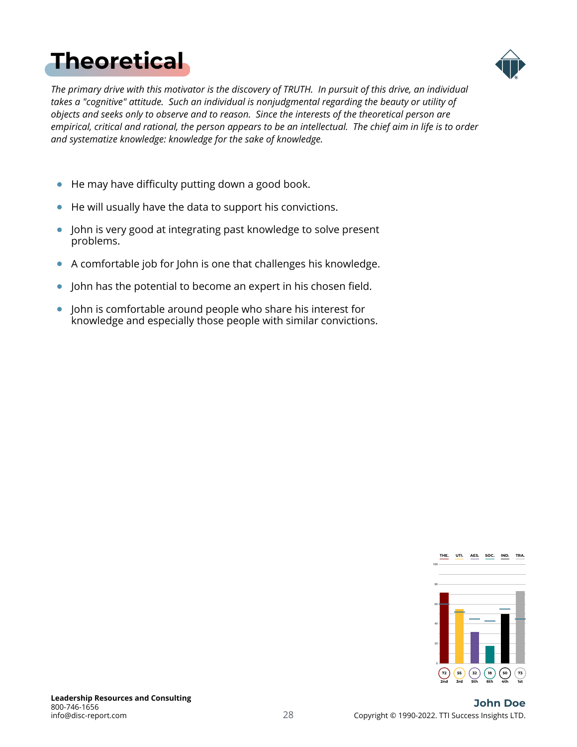# <span id="page-27-0"></span>**[Theoretical](#page-1-0)**



*The primary drive with this motivator is the discovery of TRUTH. In pursuit of this drive, an individual takes a "cognitive" attitude. Such an individual is nonjudgmental regarding the beauty or utility of objects and seeks only to observe and to reason. Since the interests of the theoretical person are empirical, critical and rational, the person appears to be an intellectual. The chief aim in life is to order and systematize knowledge: knowledge for the sake of knowledge.*

- He may have difficulty putting down a good book.  $\bullet$
- He will usually have the data to support his convictions.  $\bullet$
- John is very good at integrating past knowledge to solve present  $\bullet$ problems.
- A comfortable job for John is one that challenges his knowledge.  $\bullet$
- John has the potential to become an expert in his chosen field.  $\bullet$
- John is comfortable around people who share his interest for  $\bullet$ knowledge and especially those people with similar convictions.

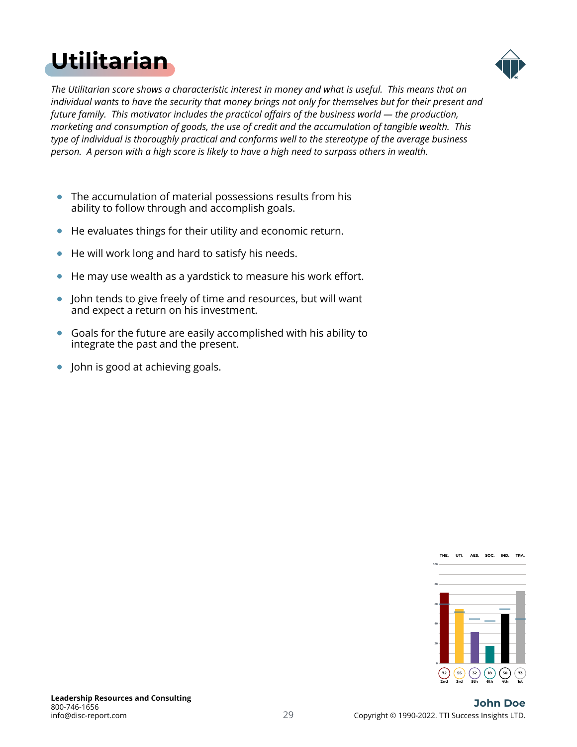# <span id="page-28-0"></span>**[Utilitarian](#page-1-0)**



*The Utilitarian score shows a characteristic interest in money and what is useful. This means that an individual wants to have the security that money brings not only for themselves but for their present and future family. This motivator includes the practical affairs of the business world — the production, marketing and consumption of goods, the use of credit and the accumulation of tangible wealth. This type of individual is thoroughly practical and conforms well to the stereotype of the average business person. A person with a high score is likely to have a high need to surpass others in wealth.*

- $\bullet$ The accumulation of material possessions results from his ability to follow through and accomplish goals.
- He evaluates things for their utility and economic return.  $\bullet$
- He will work long and hard to satisfy his needs.  $\bullet$
- He may use wealth as a yardstick to measure his work effort.  $\bullet$
- $\bullet$ John tends to give freely of time and resources, but will want and expect a return on his investment.
- Goals for the future are easily accomplished with his ability to integrate the past and the present.
- John is good at achieving goals.

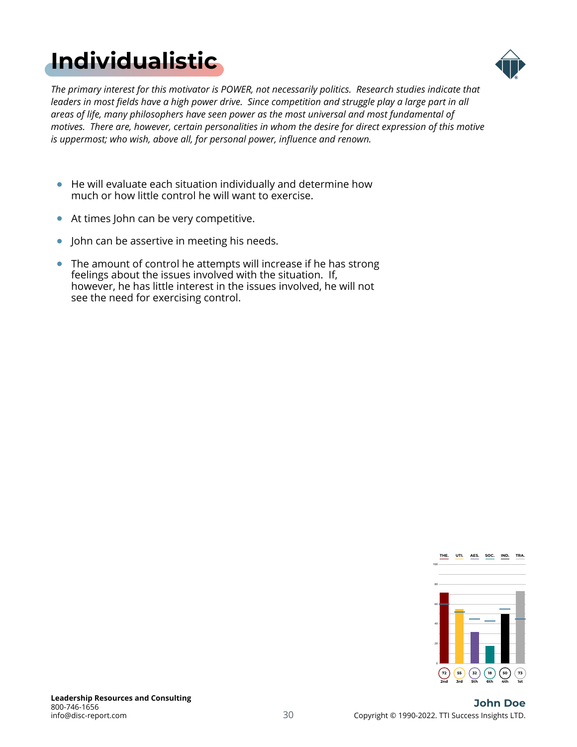# <span id="page-29-0"></span>**[Individualistic](#page-1-0)**



*The primary interest for this motivator is POWER, not necessarily politics. Research studies indicate that leaders in most fields have a high power drive. Since competition and struggle play a large part in all areas of life, many philosophers have seen power as the most universal and most fundamental of motives. There are, however, certain personalities in whom the desire for direct expression of this motive is uppermost; who wish, above all, for personal power, influence and renown.*

- He will evaluate each situation individually and determine how much or how little control he will want to exercise.
- At times John can be very competitive.
- John can be assertive in meeting his needs.
- The amount of control he attempts will increase if he has strong feelings about the issues involved with the situation. If, however, he has little interest in the issues involved, he will not see the need for exercising control.

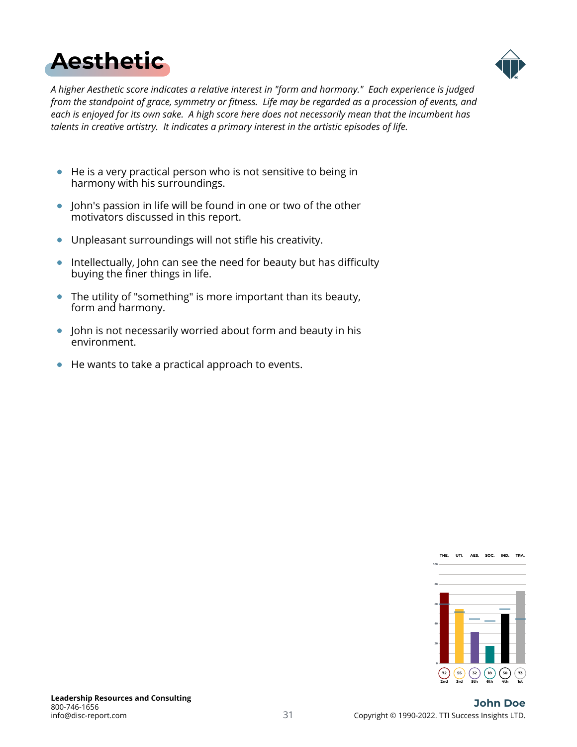<span id="page-30-0"></span>



*A higher Aesthetic score indicates a relative interest in "form and harmony." Each experience is judged from the standpoint of grace, symmetry or fitness. Life may be regarded as a procession of events, and each is enjoyed for its own sake. A high score here does not necessarily mean that the incumbent has talents in creative artistry. It indicates a primary interest in the artistic episodes of life.*

- He is a very practical person who is not sensitive to being in  $\bullet$ harmony with his surroundings.
- John's passion in life will be found in one or two of the other motivators discussed in this report.
- Unpleasant surroundings will not stifle his creativity.  $\bullet$
- **Intellectually, John can see the need for beauty but has difficulty** buying the finer things in life.
- The utility of "something" is more important than its beauty,  $\bullet$ form and harmony.
- John is not necessarily worried about form and beauty in his  $\bullet$ environment.
- He wants to take a practical approach to events.

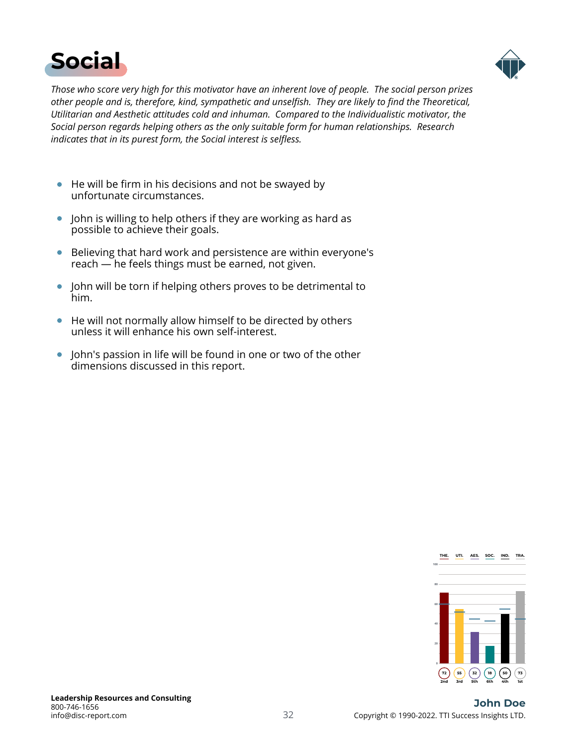<span id="page-31-0"></span>



*Those who score very high for this motivator have an inherent love of people. The social person prizes other people and is, therefore, kind, sympathetic and unselfish. They are likely to find the Theoretical, Utilitarian and Aesthetic attitudes cold and inhuman. Compared to the Individualistic motivator, the Social person regards helping others as the only suitable form for human relationships. Research indicates that in its purest form, the Social interest is selfless.*

- He will be firm in his decisions and not be swayed by unfortunate circumstances.
- John is willing to help others if they are working as hard as possible to achieve their goals.
- Believing that hard work and persistence are within everyone's reach — he feels things must be earned, not given.
- John will be torn if helping others proves to be detrimental to  $\bullet$ him.
- He will not normally allow himself to be directed by others unless it will enhance his own self-interest.
- John's passion in life will be found in one or two of the other  $\bullet$ dimensions discussed in this report.

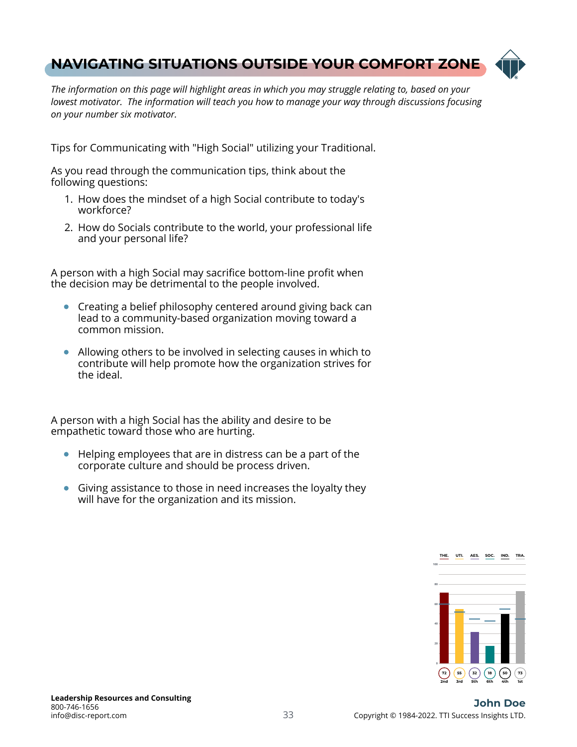### <span id="page-32-0"></span>**[NAVIGATING SITUATIONS OUTSIDE YOUR COMFORT ZONE](#page-1-0)**



*The information on this page will highlight areas in which you may struggle relating to, based on your lowest motivator. The information will teach you how to manage your way through discussions focusing on your number six motivator.*

Tips for Communicating with "High Social" utilizing your Traditional.

As you read through the communication tips, think about the following questions:

- 1. How does the mindset of a high Social contribute to today's workforce?
- 2. How do Socials contribute to the world, your professional life and your personal life?

A person with a high Social may sacrifice bottom-line profit when the decision may be detrimental to the people involved.

- Creating a belief philosophy centered around giving back can  $\bullet$ lead to a community-based organization moving toward a common mission.
- Allowing others to be involved in selecting causes in which to contribute will help promote how the organization strives for the ideal.

A person with a high Social has the ability and desire to be empathetic toward those who are hurting.

- Helping employees that are in distress can be a part of the corporate culture and should be process driven.
- Giving assistance to those in need increases the loyalty they will have for the organization and its mission.

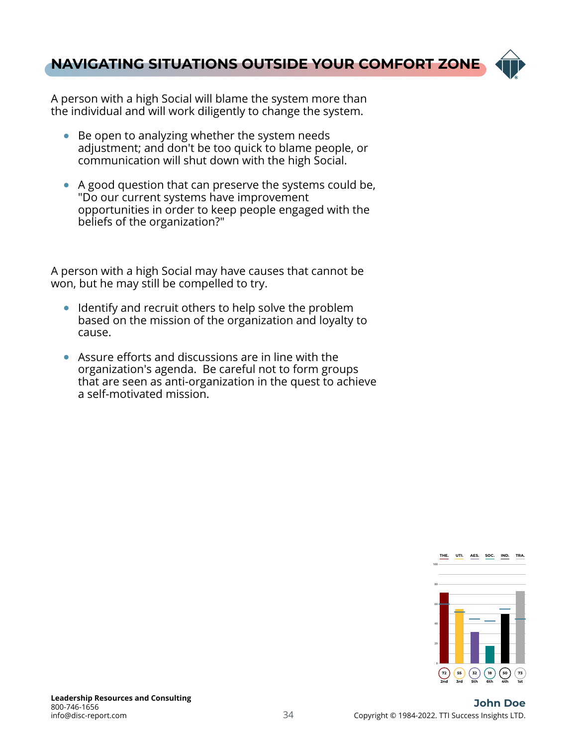### **[NAVIGATING SITUATIONS OUTSIDE YOUR COMFORT ZONE](#page-1-0)**



A person with a high Social will blame the system more than the individual and will work diligently to change the system.

- Be open to analyzing whether the system needs adjustment; and don't be too quick to blame people, or communication will shut down with the high Social.
- A good question that can preserve the systems could be, "Do our current systems have improvement opportunities in order to keep people engaged with the beliefs of the organization?"

A person with a high Social may have causes that cannot be won, but he may still be compelled to try.

- Identify and recruit others to help solve the problem based on the mission of the organization and loyalty to cause.
- Assure efforts and discussions are in line with the organization's agenda. Be careful not to form groups that are seen as anti-organization in the quest to achieve a self-motivated mission.

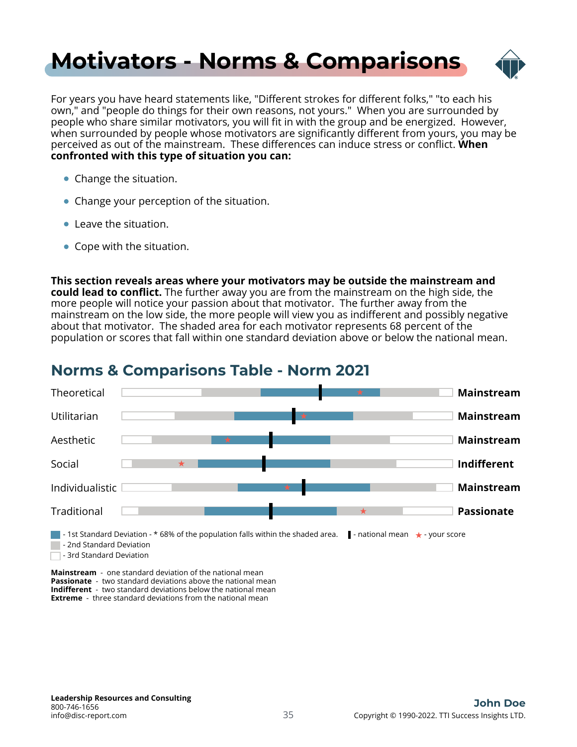## <span id="page-34-0"></span>**[Motivators - Norms & Comparisons](#page-1-0)**



For years you have heard statements like, "Different strokes for different folks," "to each his own," and "people do things for their own reasons, not yours." When you are surrounded by people who share similar motivators, you will fit in with the group and be energized. However, when surrounded by people whose motivators are significantly different from yours, you may be perceived as out of the mainstream. These differences can induce stress or conflict. **When confronted with this type of situation you can:**

- Change the situation.
- Change your perception of the situation.
- Leave the situation.
- Cope with the situation.

**This section reveals areas where your motivators may be outside the mainstream and could lead to conflict.** The further away you are from the mainstream on the high side, the more people will notice your passion about that motivator. The further away from the mainstream on the low side, the more people will view you as indifferent and possibly negative about that motivator. The shaded area for each motivator represents 68 percent of the population or scores that fall within one standard deviation above or below the national mean.



### **Norms & Comparisons Table - Norm 2021**

**Mainstream** - one standard deviation of the national mean **Passionate** - two standard deviations above the national mean **Indifferent** - two standard deviations below the national mean **Extreme** - three standard deviations from the national mean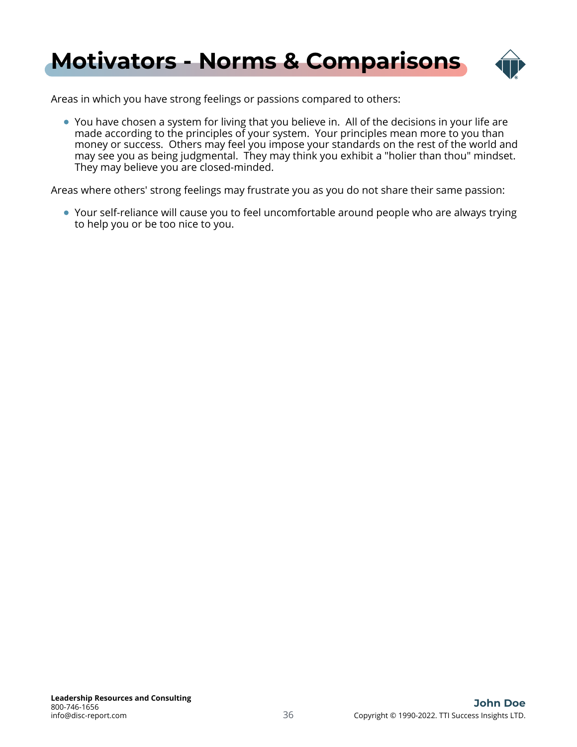

Areas in which you have strong feelings or passions compared to others:

You have chosen a system for living that you believe in. All of the decisions in your life are made according to the principles of your system. Your principles mean more to you than money or success. Others may feel you impose your standards on the rest of the world and may see you as being judgmental. They may think you exhibit a "holier than thou" mindset. They may believe you are closed-minded.

Areas where others' strong feelings may frustrate you as you do not share their same passion:

Your self-reliance will cause you to feel uncomfortable around people who are always trying to help you or be too nice to you.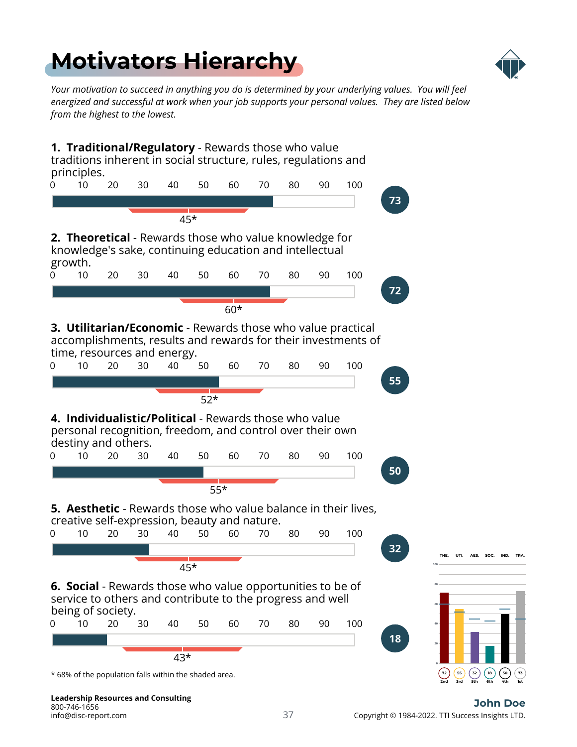# <span id="page-36-0"></span>**[Motivators Hierarchy](#page-1-0)**



*Your motivation to succeed in anything you do is determined by your underlying values. You will feel energized and successful at work when your job supports your personal values. They are listed below from the highest to the lowest.*



info@disc-report.com 800-746-1656 **Leadership Resources and Consulting**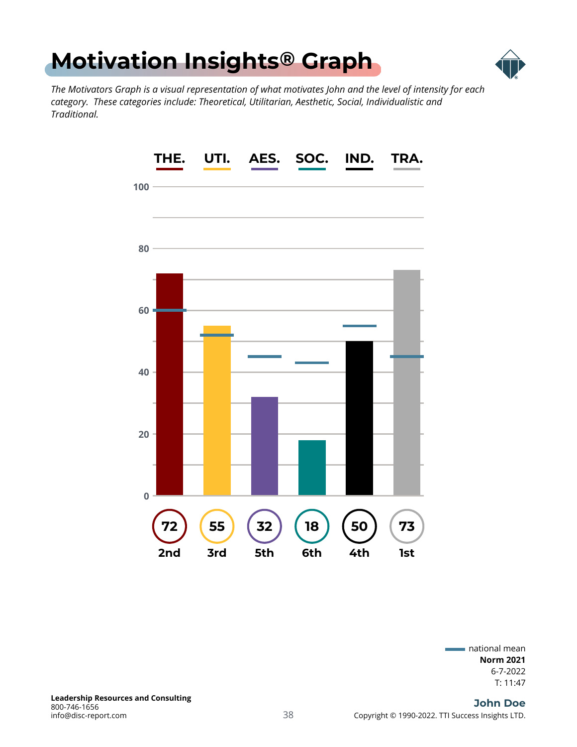<span id="page-37-0"></span>



*The Motivators Graph is a visual representation of what motivates John and the level of intensity for each category. These categories include: Theoretical, Utilitarian, Aesthetic, Social, Individualistic and Traditional.*



T: 11:47 6-7-2022 **Norm 2021** national mean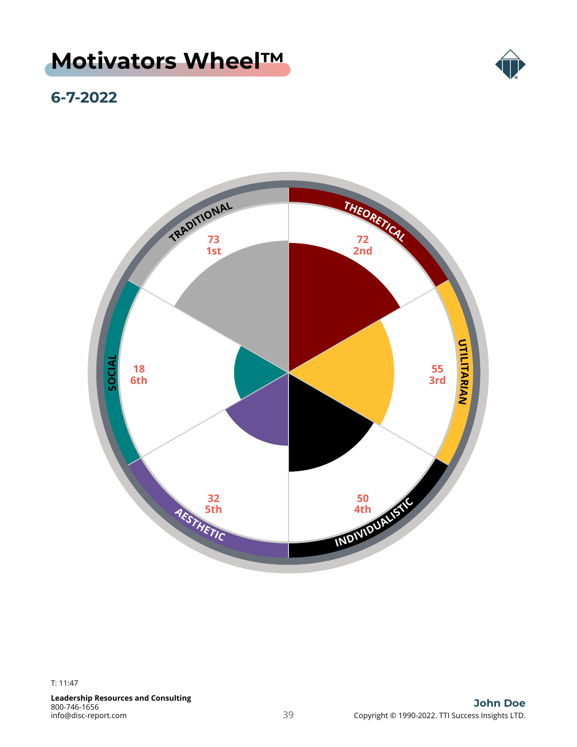### <span id="page-38-0"></span>**[Motivators Wheel™](#page-1-0)**



### **6-7-2022**

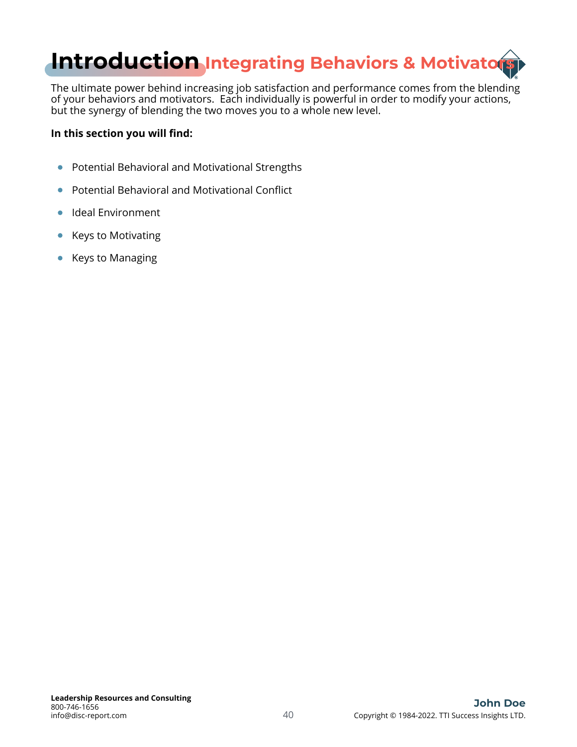<span id="page-39-0"></span>

The ultimate power behind increasing job satisfaction and performance comes from the blending of your behaviors and motivators. Each individually is powerful in order to modify your actions, but the synergy of blending the two moves you to a whole new level.

#### **In this section you will find:**

- Potential Behavioral and Motivational Strengths
- Potential Behavioral and Motivational Conflict  $\bullet$
- $\bullet$ Ideal Environment
- Keys to Motivating  $\bullet$
- Keys to Managing  $\bullet$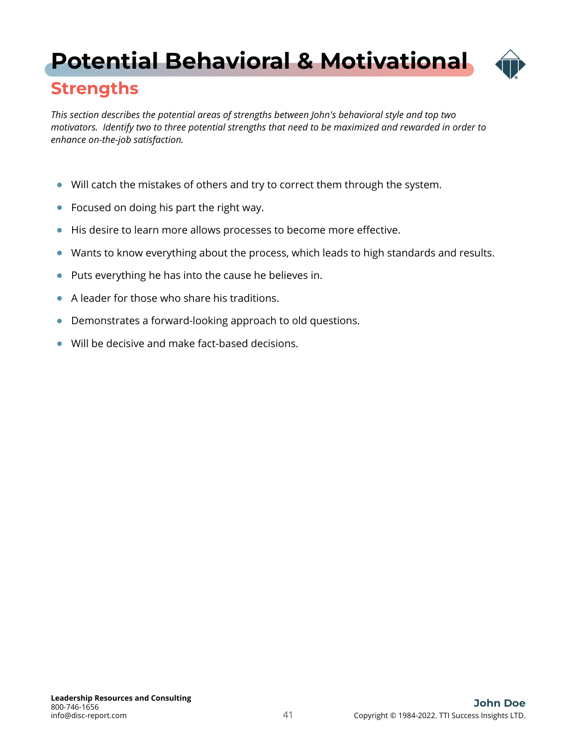# <span id="page-40-0"></span>**[Potential Behavioral & Motivational](#page-1-0)**



*This section describes the potential areas of strengths between John's behavioral style and top two motivators. Identify two to three potential strengths that need to be maximized and rewarded in order to enhance on-the-job satisfaction.*

- Will catch the mistakes of others and try to correct them through the system.
- Focused on doing his part the right way.
- His desire to learn more allows processes to become more effective.  $\bullet$
- Wants to know everything about the process, which leads to high standards and results.  $\bullet$
- Puts everything he has into the cause he believes in.  $\bullet$
- A leader for those who share his traditions.  $\bullet$
- $\bullet$ Demonstrates a forward-looking approach to old questions.
- Will be decisive and make fact-based decisions.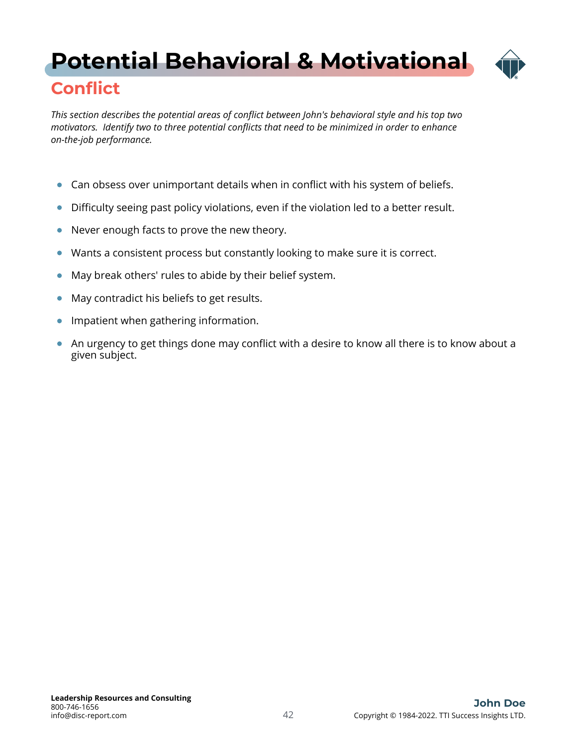# <span id="page-41-0"></span>**[Potential Behavioral & Motivational](#page-1-0)**



### **Conflict**

*This section describes the potential areas of conflict between John's behavioral style and his top two motivators. Identify two to three potential conflicts that need to be minimized in order to enhance on-the-job performance.*

- Can obsess over unimportant details when in conflict with his system of beliefs.  $\bullet$
- Difficulty seeing past policy violations, even if the violation led to a better result.
- Never enough facts to prove the new theory.  $\bullet$
- Wants a consistent process but constantly looking to make sure it is correct.  $\bullet$
- May break others' rules to abide by their belief system.  $\bullet$
- May contradict his beliefs to get results.  $\bullet$
- $\bullet$ Impatient when gathering information.
- An urgency to get things done may conflict with a desire to know all there is to know about a given subject.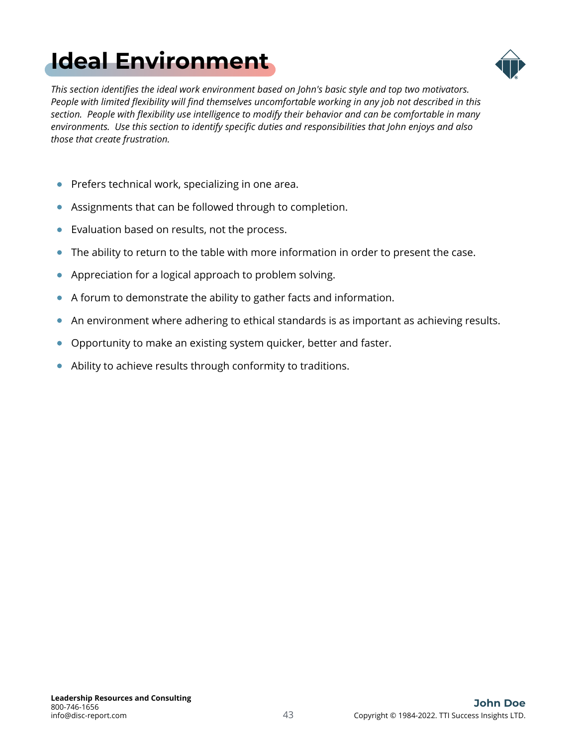# <span id="page-42-0"></span>**[Ideal Environment](#page-1-0)**



*This section identifies the ideal work environment based on John's basic style and top two motivators. People with limited flexibility will find themselves uncomfortable working in any job not described in this section. People with flexibility use intelligence to modify their behavior and can be comfortable in many environments. Use this section to identify specific duties and responsibilities that John enjoys and also those that create frustration.*

- **•** Prefers technical work, specializing in one area.
- Assignments that can be followed through to completion.
- Evaluation based on results, not the process.  $\bullet$
- The ability to return to the table with more information in order to present the case.  $\bullet$
- Appreciation for a logical approach to problem solving.  $\bullet$
- A forum to demonstrate the ability to gather facts and information.
- An environment where adhering to ethical standards is as important as achieving results.  $\bullet$
- Opportunity to make an existing system quicker, better and faster.  $\bullet$
- Ability to achieve results through conformity to traditions.  $\bullet$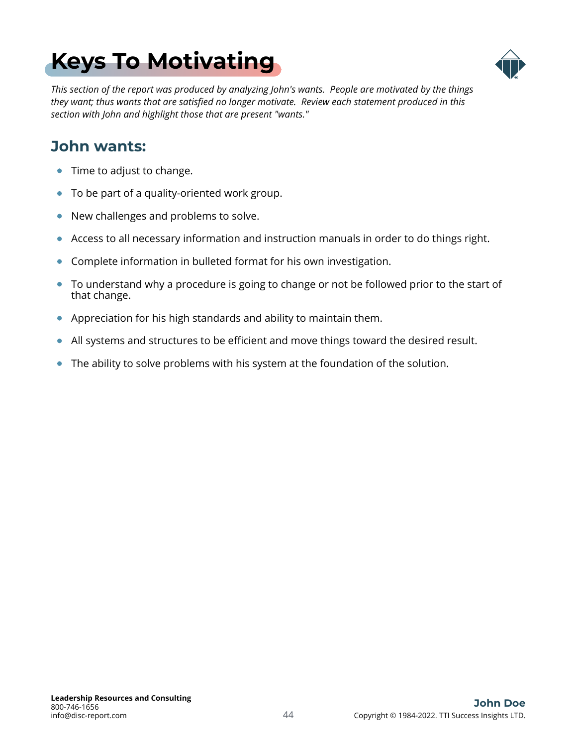# <span id="page-43-0"></span>**[Keys To Motivating](#page-1-0)**



*This section of the report was produced by analyzing John's wants. People are motivated by the things they want; thus wants that are satisfied no longer motivate. Review each statement produced in this section with John and highlight those that are present "wants."*

### **John wants:**

- Time to adjust to change.  $\bullet$
- To be part of a quality-oriented work group.  $\bullet$
- $\bullet$ New challenges and problems to solve.
- Access to all necessary information and instruction manuals in order to do things right.  $\bullet$
- Complete information in bulleted format for his own investigation.  $\bullet$
- To understand why a procedure is going to change or not be followed prior to the start of that change.
- Appreciation for his high standards and ability to maintain them.  $\bullet$
- $\bullet$ All systems and structures to be efficient and move things toward the desired result.
- The ability to solve problems with his system at the foundation of the solution.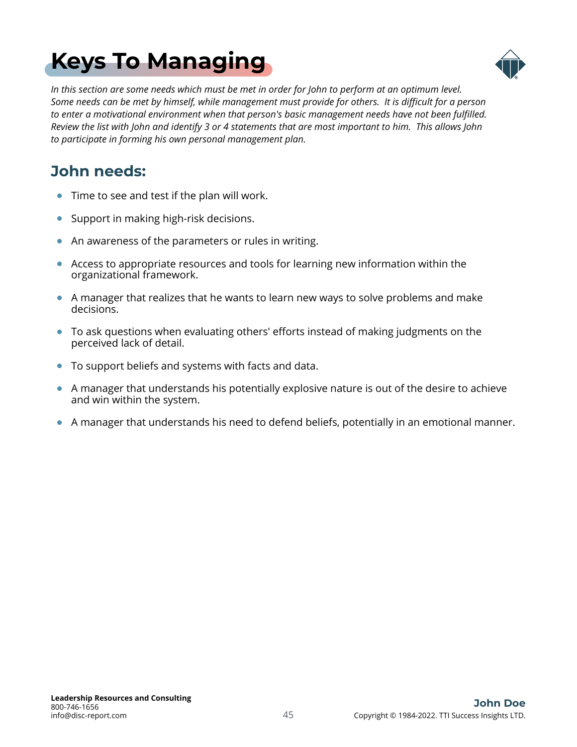# <span id="page-44-0"></span>**[Keys To Managing](#page-1-0)**



*In this section are some needs which must be met in order for John to perform at an optimum level. Some needs can be met by himself, while management must provide for others. It is difficult for a person to enter a motivational environment when that person's basic management needs have not been fulfilled. Review the list with John and identify 3 or 4 statements that are most important to him. This allows John to participate in forming his own personal management plan.*

### **John needs:**

- Time to see and test if the plan will work.  $\bullet$
- Support in making high-risk decisions.  $\bullet$
- An awareness of the parameters or rules in writing.  $\bullet$
- Access to appropriate resources and tools for learning new information within the organizational framework.
- A manager that realizes that he wants to learn new ways to solve problems and make decisions.
- To ask questions when evaluating others' efforts instead of making judgments on the perceived lack of detail.
- To support beliefs and systems with facts and data.  $\bullet$
- A manager that understands his potentially explosive nature is out of the desire to achieve and win within the system.
- $\bullet$ A manager that understands his need to defend beliefs, potentially in an emotional manner.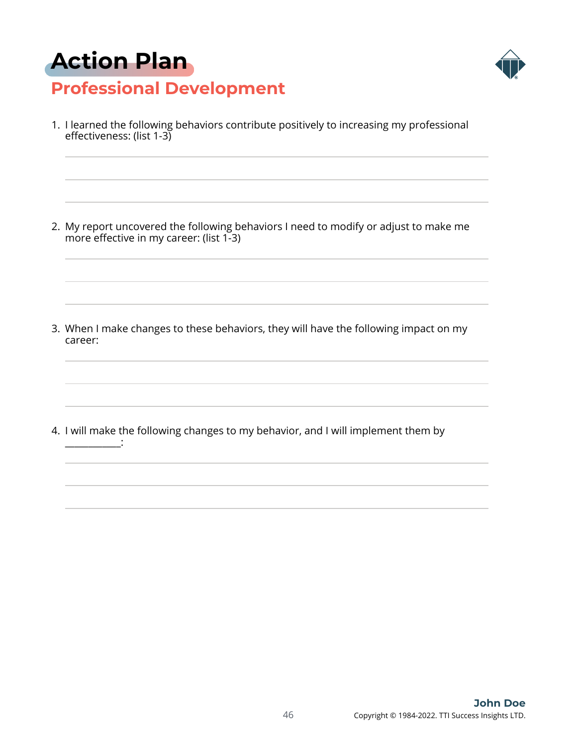# <span id="page-45-0"></span>**[Action Plan](#page-1-0)**



### **Professional Development**

1. I learned the following behaviors contribute positively to increasing my professional effectiveness: (list 1-3)

2. My report uncovered the following behaviors I need to modify or adjust to make me more effective in my career: (list 1-3)

3. When I make changes to these behaviors, they will have the following impact on my career:

4. I will make the following changes to my behavior, and I will implement them by \_\_\_\_\_\_\_\_\_\_\_\_: